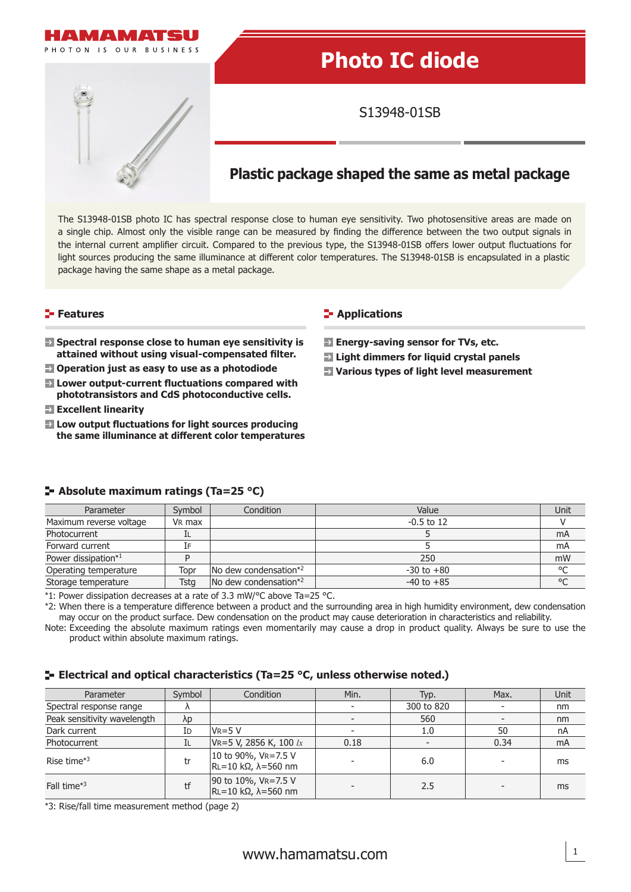

# **Photo IC diode**

S13948-01SB

## **Plastic package shaped the same as metal package**

The S13948-01SB photo IC has spectral response close to human eye sensitivity. Two photosensitive areas are made on a single chip. Almost only the visible range can be measured by finding the difference between the two output signals in the internal current amplifier circuit. Compared to the previous type, the S13948-01SB offers lower output fluctuations for light sources producing the same illuminance at different color temperatures. The S13948-01SB is encapsulated in a plastic package having the same shape as a metal package.

## **Features**

- **EX** Spectral response close to human eye sensitivity is attained without using visual-compensated filter.
- **Operation just as easy to use as a photodiode**
- **E** Lower output-current fluctuations compared with **phototransistors and CdS photoconductive cells.**
- **Excellent linearity**
- **EX** Low output fluctuations for light sources producing **the same illuminance at diff erent color temperatures**

#### **Applications**

- **Example 2 Energy-saving sensor for TVs, etc.**
- **Light dimmers for liquid crystal panels**
- **Various types of light level measurement**

| Parameter               | Symbol             | Condition                                 | Value          | Unit    |
|-------------------------|--------------------|-------------------------------------------|----------------|---------|
| Maximum reverse voltage | V <sub>R</sub> max |                                           | $-0.5$ to 12   |         |
| Photocurrent            | ΙL                 |                                           |                | mA      |
| Forward current         | Ī۴                 |                                           |                | mA      |
| Power dissipation*1     |                    |                                           | 250            | mW      |
| Operating temperature   | Topr               | $\sqrt{N}$ dew condensation <sup>*2</sup> | $-30$ to $+80$ | $\circ$ |
| Storage temperature     | Tsta               | $\sqrt{N}$ dew condensation <sup>*2</sup> | $-40$ to $+85$ | $\circ$ |

**Absolute maximum ratings (Ta=25 °C)**

\*1: Power dissipation decreases at a rate of 3.3 mW/°C above Ta=25 °C.

\*2: When there is a temperature difference between a product and the surrounding area in high humidity environment, dew condensation may occur on the product surface. Dew condensation on the product may cause deterioration in characteristics and reliability.

Note: Exceeding the absolute maximum ratings even momentarily may cause a drop in product quality. Always be sure to use the product within absolute maximum ratings.

## **E** Electrical and optical characteristics (Ta=25 °C, unless otherwise noted.)

| Parameter                   | Symbol      | Condition                                                  | Min. | Typ.       | Max. | <b>Unit</b> |
|-----------------------------|-------------|------------------------------------------------------------|------|------------|------|-------------|
| Spectral response range     |             |                                                            |      | 300 to 820 |      | nm          |
| Peak sensitivity wavelength | $\lambda p$ |                                                            |      | 560        |      | nm          |
| Dark current                | Id          | $V_{R=5}V$                                                 |      | 1.0        | 50   | nA          |
| Photocurrent                | ΙL          | VR=5 V, 2856 K, 100 $lx$                                   | 0.18 |            | 0.34 | mA          |
| Rise time $*3$              | tr          | 10 to 90%, VR=7.5 V<br>$\vert$ RL=10 kΩ, $\lambda$ =560 nm |      | 6.0        |      | ms          |
| Fall time*3                 | tf          | 90 to 10%, VR=7.5 V<br>$\vert$ RL=10 kΩ, $\lambda$ =560 nm |      | 2.5        |      | ms          |

\*3: Rise/fall time measurement method (page 2)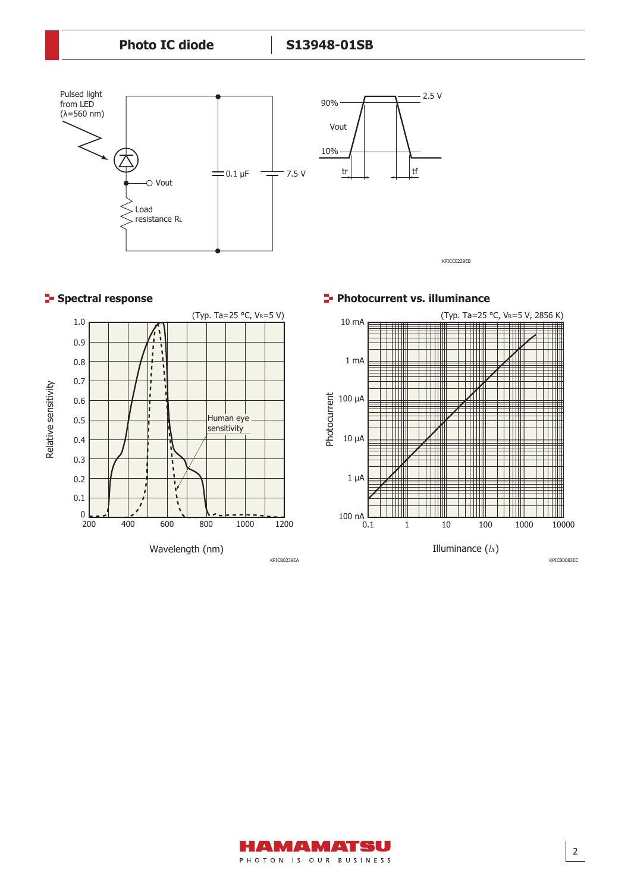

## **Spectral response**



**Photocurrent vs. illuminance** 



KPICB0083EC

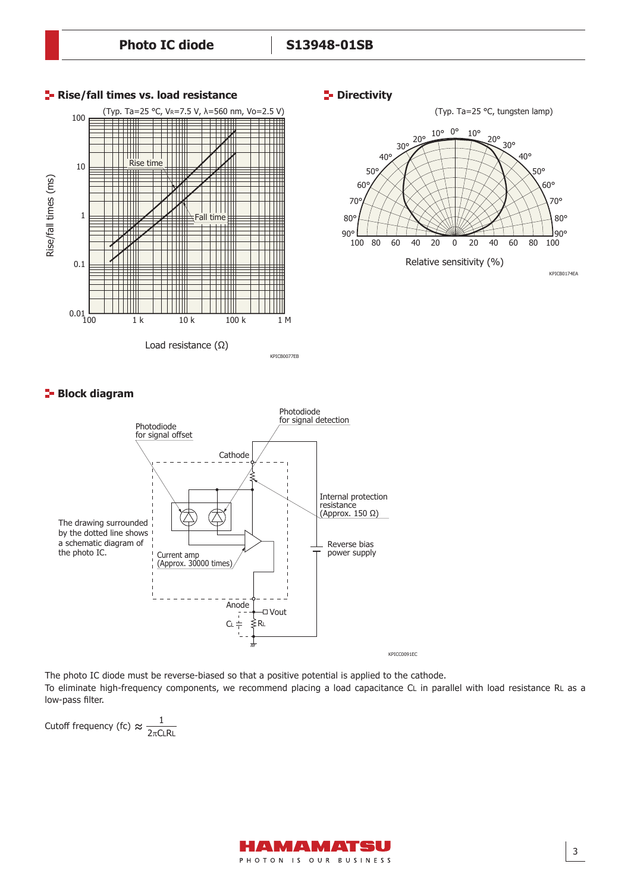**Photo IC diode S13948-01SB**



#### **P**-Directivity



## **Block diagram**



The photo IC diode must be reverse-biased so that a positive potential is applied to the cathode. To eliminate high-frequency components, we recommend placing a load capacitance CL in parallel with load resistance RL as a low-pass filter.

Cutoff frequency (fc)  $\approx \frac{1}{2\pi\Omega}$  $2\pi$ CLRL

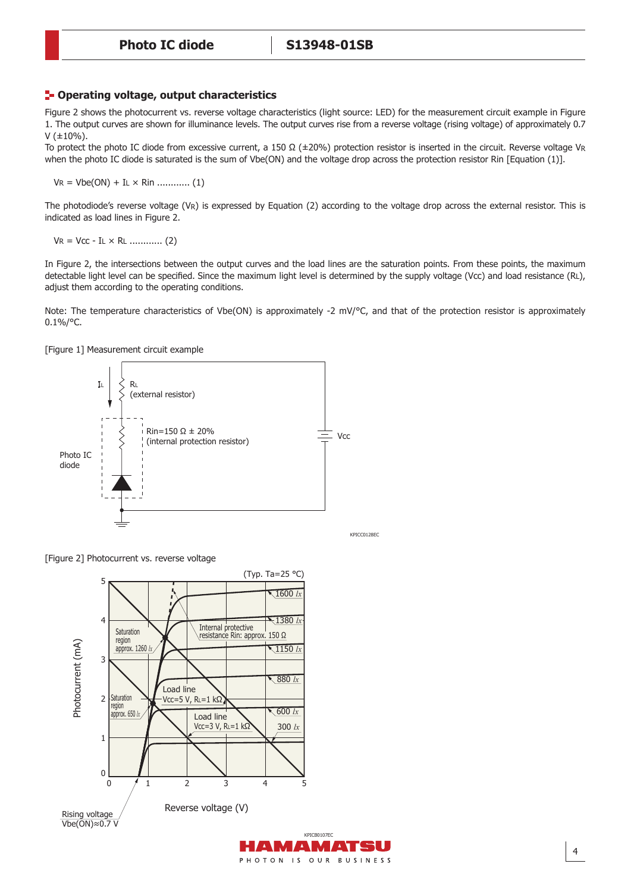#### **Operating voltage, output characteristics**

Figure 2 shows the photocurrent vs. reverse voltage characteristics (light source: LED) for the measurement circuit example in Figure 1. The output curves are shown for illuminance levels. The output curves rise from a reverse voltage (rising voltage) of approximately 0.7  $V (±10%)$ .

To protect the photo IC diode from excessive current, a 150 Ω (±20%) protection resistor is inserted in the circuit. Reverse voltage VR when the photo IC diode is saturated is the sum of Vbe(ON) and the voltage drop across the protection resistor Rin [Equation (1)].

VR = Vbe(ON) + IL × Rin ............ (1)

The photodiode's reverse voltage (VR) is expressed by Equation (2) according to the voltage drop across the external resistor. This is indicated as load lines in Figure 2.

VR = Vcc - IL × RL ............ (2)

In Figure 2, the intersections between the output curves and the load lines are the saturation points. From these points, the maximum detectable light level can be specified. Since the maximum light level is determined by the supply voltage (Vcc) and load resistance (RL). adjust them according to the operating conditions.

Note: The temperature characteristics of Vbe(ON) is approximately -2 mV/°C, and that of the protection resistor is approximately  $0.1\%$ /°C.

PHOTON IS OUR BUSINESS

[Figure 1] Measurement circuit example



KPICC0128EC

[Figure 2] Photocurrent vs. reverse voltage

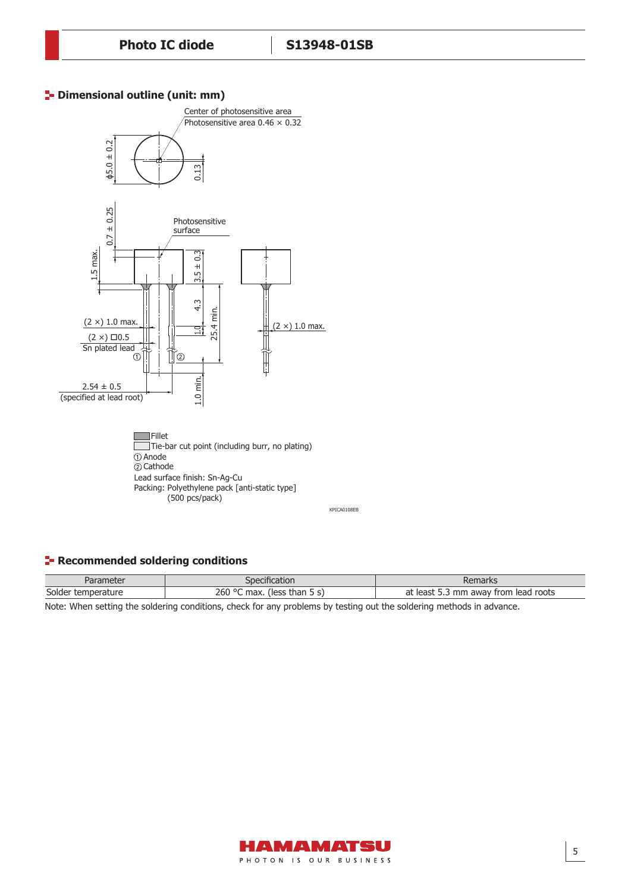## **<sup>1</sup>** Dimensional outline (unit: mm)



## **Recommended soldering conditions**

| าeter            | _cification                                          | Jamarka                                             |
|------------------|------------------------------------------------------|-----------------------------------------------------|
| ar               | JDP.                                                 | 'Idi KS                                             |
| Solder<br>rature | 260<br>.0 <sub>c</sub><br>max:<br>less)<br>*han 5 s, | at<br>roots<br>TO DET<br>trom<br>mm<br>lead<br>awav |

Note: When setting the soldering conditions, check for any problems by testing out the soldering methods in advance.